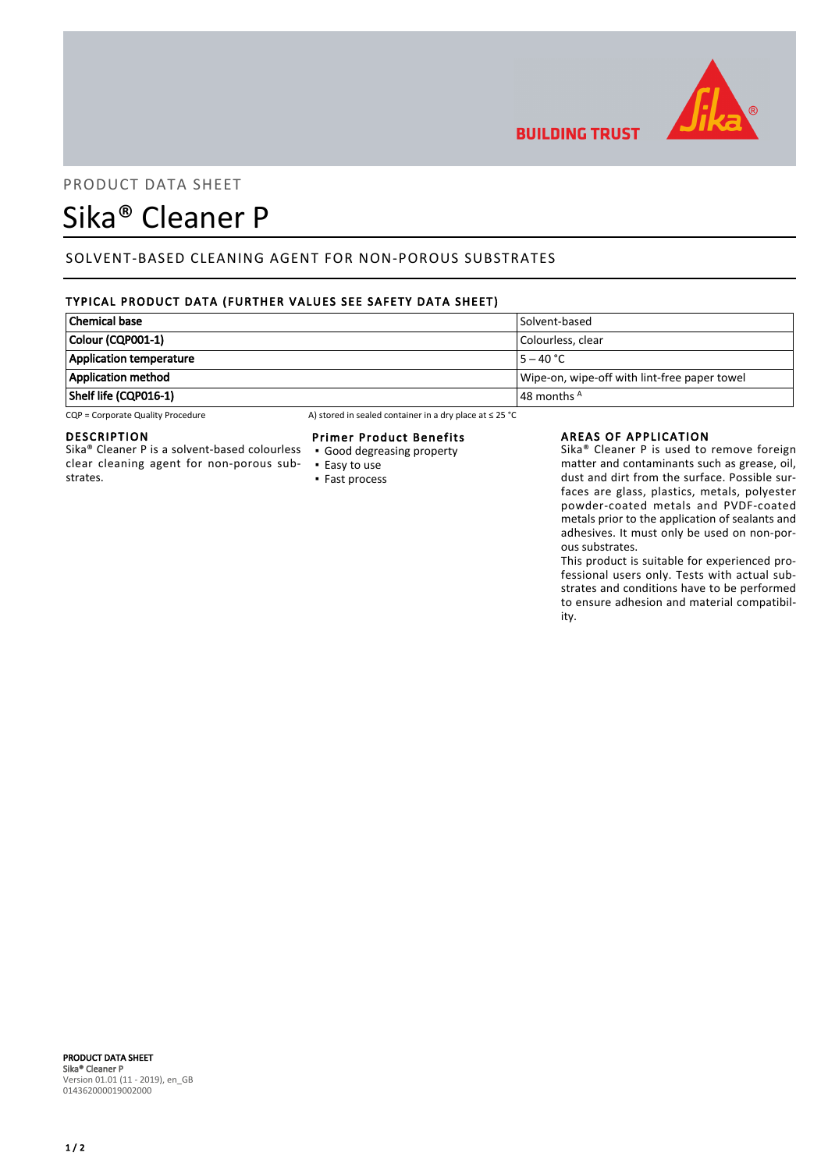

**BUILDING TRUST** 

# PRODUCT DATA SHEET

# Sika® Cleaner P

# SOLVENT-BASED CLEANING AGENT FOR NON-POROUS SUBSTRATES

# TYPICAL PRODUCT DATA (FURTHER VALUES SEE SAFETY DATA SHEET)

| <b>Chemical base</b>           | Solvent-based                                |
|--------------------------------|----------------------------------------------|
| Colour (CQP001-1)              | Colourless, clear                            |
| <b>Application temperature</b> | $5 - 40 °C$                                  |
| Application method             | Wipe-on, wipe-off with lint-free paper towel |
| Shelf life (CQP016-1)          | $ $ 48 months $^{\mathsf{A}}$                |

 $CQP =$  Corporate Quality Procedure  $AP =$  A) stored in sealed container in a dry place at  $\leq$  25 °C

## DESCRIPTION

Sika® Cleaner P is a solvent-based colourless clear cleaning agent for non-porous substrates.

## Primer Product Benefits

- Good degreasing property
- Easy to use
- Fast process

#### AREAS OF APPLICATION

Sika® Cleaner P is used to remove foreign matter and contaminants such as grease, oil, dust and dirt from the surface. Possible surfaces are glass, plastics, metals, polyester powder-coated metals and PVDF-coated metals prior to the application of sealants and adhesives. It must only be used on non-porous substrates.

This product is suitable for experienced professional users only. Tests with actual substrates and conditions have to be performed to ensure adhesion and material compatibility.

PRODUCT DATA SHEET Sika® Cleaner P Version 01.01 (11 - 2019), en\_GB 014362000019002000